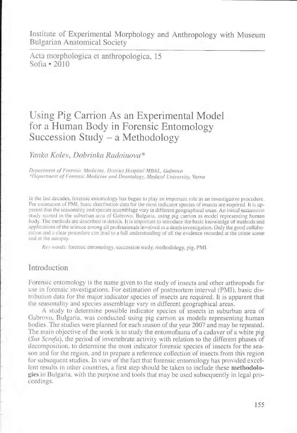Institute of Experimental Morphology and Anthropology with Museum Bulgarian Anatomical Society

Acta morphologica et anthropologica, 15 Sofia \*2010

## Using Pig Carrion As an Experimental Model for a Human Body in Forensic Entomology Succession Study - a Methodology

*Yanko Kolev, Dobrinka Radoinova* \*

*Department of Forensic Medicine, District Hospital MBAL, Gabrovo \*Department o f Forensic Medicine and Deontology, Medical University, Varna*

In the last decades, forensic entomology has begun to play an important role as an investigative procedure. For estimation of PMI, basic distribution data for the most indicator species of insects are required. It is apparent that the seasonality and species assemblage vary in different geographical areas. An initial succession study started in the suburban area of Gabrovo, Bulgaria, using pig carrion as model representing human body. The methods are described in details. It is important to introduce the basic knowledge of methods and applications of the science among all professionals involved in a death investigation. Only the good collaboration and a clear procedure can lead to a full understanding of all the evidence recorded at the crime scene and at the autopsy.

*Key words:* forensic entomology, succession study, methodology, pig, PMI.

## Introduction

Forensic entomology is the name given to the study of insects and other arthropods for use in forensic investigations. For estimation of postmortem interval (PMI). basic distribution data for the major indicator species of insects are required. It is apparent that the seasonality and species assemblage vary in different geographical areas.

A study to determine possible indicator species of insects in suburban area of Gabrovo. Bulgaria, was conducted using pig carrion as models representing human bodies. The studies were planned for each season of the year 2007 and may be repeated. The main objective of the work is to study the entomofauna of a cadaver of a white pig *(Sus Scrofa),* the period of invertebrate activity with relation to the different phases of decomposition, to determine the most indicator forensic species of insects for the season and for the region, and to prepare a reference collection of insects from this region for subsequent studies. In view of the fact that forensic entomology has provided excellent results in other countries, a first step should be taken to include these **methodologies** in Bulgaria, with the purpose and tools that may be used subsequently in legal proceedings.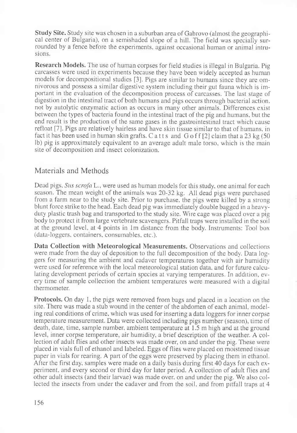**Study Site.** Study site was chosen in a suburban area of Gabrovo (almost the geographical center of Bulgaria), on a semishaded slope of a hill. The field was specially surrounded by a fence before the experiments, against occasional human or animal intrusions.

**Research Models.** The use of human corpses for field studies is illegal in Bulgaria. Pig carcasses were used in experiments because they have been widely accepted as human models for decompositional studies [3]. Pigs are similar to humans since they are omnivorous and possess a similar digestive system including their gut fauna which is important in the evaluation of the decomposition process of carcasses. The last stage of digestion in the intestinal tract of both humans and pigs occurs through bacterial action, not by autolytic enzymatic action as occurs in many other animals. Differences exist between the types of bacteria found in the intestinal tract of the pig and humans, but the end result is the production of the same gases in the gastrointestinal tract which cause refloat [7]. Pigs are relatively hairless and have skin tissue similar to that of humans, in fact it has been used in human skin grafts. C a t t s and G o f f  $[2]$  claim that a 23 kg (50) lb) pig is approximately equivalent to an average adult male torso, which is the main site of decomposition and insect colonization.

## Materials and Methods

Dead pigs, *Sus scrofa* L., were used as human models for this study, one animal for each season. The mean weight of the animals was 20-32 kg. All dead pigs were purchased from a farm near to the study site. Prior to purchase, the pigs were killed by a strong blunt force strike to the head. Each dead pig was immediately double bagged in a heavyduty plastic trash bag and transported to the study site. Wire cage was placed over a pig body to protect it from large vertebrate scavengers. Pitfall traps were installed in the soil at the ground level, at 4 points in 1m distance from the body. Instruments: Tool box (data-loggers, containers, consumables, etc.).

Data Collection with Meteorological Measurements. Observations and collections were made from the day of deposition to the full decomposition of the body. Data loggers for measuring the ambient and cadaver temperatures together with air humidity were used for reference with the local meteorological station data, and for future calculating development periods of certain species at varying temperatures. In addition, every time of sample collection the ambient temperatures were measured with a digital thermometer.

**Protocols.** On day 1, the pigs were removed from bags and placed in a location on the site. There was made a stub wound in the center of the abdomen of each animal, modeling real conditions of crime, which was used for inserting a data loggers for inner corpse temperature measurement. Data were collected including pigs number (season), time of death, date, time, sample number, ambient temperature at 1.5 m high and at the ground level, inner corpse temperature, air humidity, a brief description of the weather. A collection of adult flies and other insects was made over, on and under the pig. These were placed in vials full of ethanol and labeled. Eggs of flies were placed on moistened tissue paper in vials for rearing. A part of the eggs were preserved by placing them in ethanol. After the first day, samples were made on a daily basis during first 40 days for each experiment, and every second or third day for later period. A collection of adult flies and other adult insects (and their larvae) was made over, on and under the pig. We also collected the insects from under the cadaver and from the soil, and from pitfall traps at 4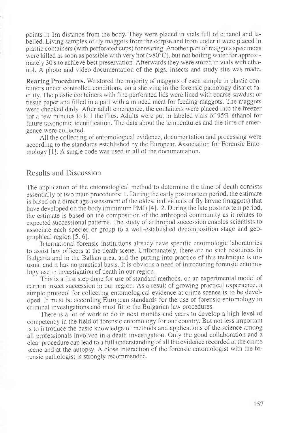points in lm distance from the body. They were placed in vials full of ethanol and labelled. Living samples of fly maggots from the corpse and from under it were placed in plastic containers (with perforated cups) for rearing. Another part of maggots specimens were killed as soon as possible with very hot  $(>80^{\circ}C)$ , but not boiling water for approximately 30 s to achieve best preservation. Afterwards they were stored in vials with ethanol. A photo and video documentation of the pigs, insects and study site was made.

**Rearing Procedures.** We stored the majority of maggots of each sample in plastic containers under controlled conditions, on a shelving in the forensic pathology district facility. The plastic containers with fine perforated lids were lined with coarse sawdust or tissue paper and filled in a part with a minced meat for feeding maggots. The maggots were checked daily. After adult emergence, the containers were placed into the freezer for a few minutes to kill the flies. Adults were put in labeled vials of 95% ethanol for future taxonomic identification. The data about the temperatures and the time of emergence were collected.

All the collecting of entomological evidence, documentation and processing were according to the standards established by the European Association for Forensic Entomology [1]. A single code was used in all of the documentation.

## Results and Discussion

The application of the entomological method to determine the time of death consists essentially of two main procedures: 1. During the early postmortem period, the estimate is based on a direct age assessment of the oldest individuals of fly larvae (maggots) that have developed on the body (minimum PMI) [4]. 2. During the late postmortem period, the estimate is based on the composition of the arthropod community as it relates to expected successional patterns. The study of arthropod succession enables scientists to associate each species or group to a well-established decomposition stage and geographical region [5, 6].

International forensic institutions already have specific entomologic laboratories to assist law officers at the death scene. Unfortunately, there are no such resources in Bulgaria and in the Balkan area, and the putting into practice of this technique is unusual and it has no practical basis. It is obvious a need of introducing forensic entomology use in investigation of death in our region.

This is a first step done for use of standard methods, on an experimental model of carrion insect succession in our region. As a result of growing practical experience, a simple protocol for collecting entomological evidence at crime scenes is to be developed. It must be according European standards for the use of forensic entomology in criminal investigations and must fit to the Bulgarian law procedures.

There is a lot of work to do in next months and years to develop a high level of competency in the field of forensic entomology for our country. But not less important is to introduce the basic knowledge of methods and applications of the science among all professionals involved in a death investigation. Only the good collaboration and a clear procedure can lead to a full understanding of all the evidence recorded at the crime scene and at the autopsy. A close interaction of the forensic entomologist with the forensic pathologist is strongly recommended.